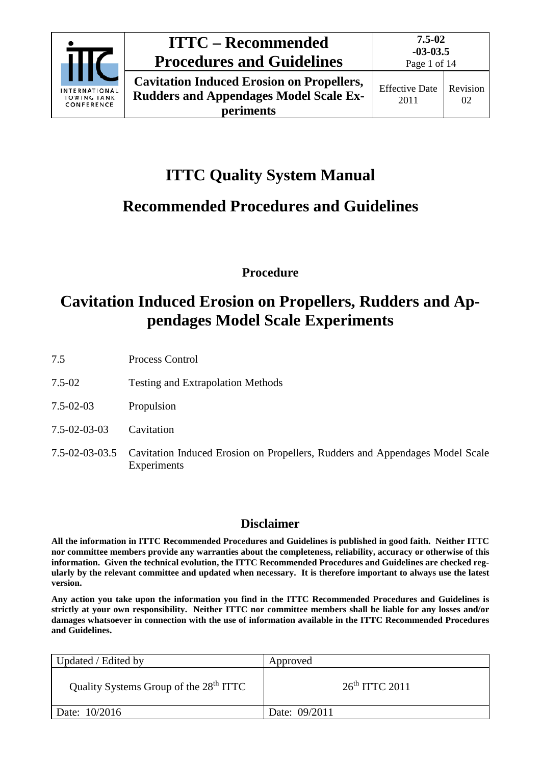

**periments**

**7.5-02**

# **ITTC Quality System Manual**

## **Recommended Procedures and Guidelines**

**Procedure**

## **Cavitation Induced Erosion on Propellers, Rudders and Appendages Model Scale Experiments**

- 7.5 Process Control
- 7.5-02 Testing and Extrapolation Methods
- 7.5-02-03 Propulsion
- 7.5-02-03-03 Cavitation
- 7.5-02-03-03.5 Cavitation Induced Erosion on Propellers, Rudders and Appendages Model Scale Experiments

### **Disclaimer**

**All the information in ITTC Recommended Procedures and Guidelines is published in good faith. Neither ITTC nor committee members provide any warranties about the completeness, reliability, accuracy or otherwise of this information. Given the technical evolution, the ITTC Recommended Procedures and Guidelines are checked regularly by the relevant committee and updated when necessary. It is therefore important to always use the latest version.**

**Any action you take upon the information you find in the ITTC Recommended Procedures and Guidelines is strictly at your own responsibility. Neither ITTC nor committee members shall be liable for any losses and/or damages whatsoever in connection with the use of information available in the ITTC Recommended Procedures and Guidelines.**

| Updated / Edited by                                | Approved         |
|----------------------------------------------------|------------------|
| Quality Systems Group of the 28 <sup>th</sup> ITTC | $26th$ ITTC 2011 |
| Date: 10/2016                                      | Date: 09/2011    |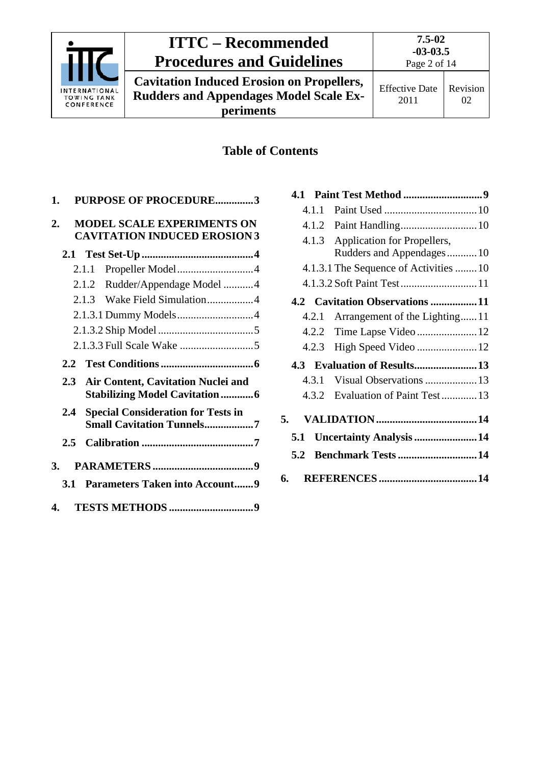

**Cavitation Induced Erosion on Propellers, Rudders and Appendages Model Scale Experiments**

### **Table of Contents**

|    | 1.            | PURPOSE OF PROCEDURE3                                                         |  |
|----|---------------|-------------------------------------------------------------------------------|--|
| 2. |               | <b>MODEL SCALE EXPERIMENTS ON</b><br><b>CAVITATION INDUCED EROSION 3</b>      |  |
|    |               |                                                                               |  |
|    |               | 2.1.1                                                                         |  |
|    |               | 2.1.2 Rudder/Appendage Model 4                                                |  |
|    |               | 2.1.3 Wake Field Simulation4                                                  |  |
|    |               |                                                                               |  |
|    |               |                                                                               |  |
|    |               |                                                                               |  |
|    |               |                                                                               |  |
|    |               |                                                                               |  |
|    | $2.3 -$       | Air Content, Cavitation Nuclei and<br><b>Stabilizing Model Cavitation6</b>    |  |
|    | 2.4           | <b>Special Consideration for Tests in</b><br><b>Small Cavitation Tunnels7</b> |  |
|    | $2.5^{\circ}$ |                                                                               |  |
|    | 3.            |                                                                               |  |
|    | <b>3.1</b>    | <b>Parameters Taken into Account9</b>                                         |  |

| 4.1   |                                       |
|-------|---------------------------------------|
| 4.1.1 |                                       |
| 4.1.2 |                                       |
|       | 4.1.3 Application for Propellers,     |
|       | Rudders and Appendages10              |
|       | 4.1.3.1 The Sequence of Activities 10 |
|       |                                       |
|       | 4.2 Cavitation Observations 11        |
| 4.2.1 | Arrangement of the Lighting11         |
|       |                                       |
| 4.2.3 |                                       |
|       | 4.3 Evaluation of Results13           |
| 4.3.1 |                                       |
| 4.3.2 | Evaluation of Paint Test 13           |
| 5.    |                                       |
| 5.1   | <b>Uncertainty Analysis  14</b>       |
| 5.2   | <b>Benchmark Tests  14</b>            |
| 6.    |                                       |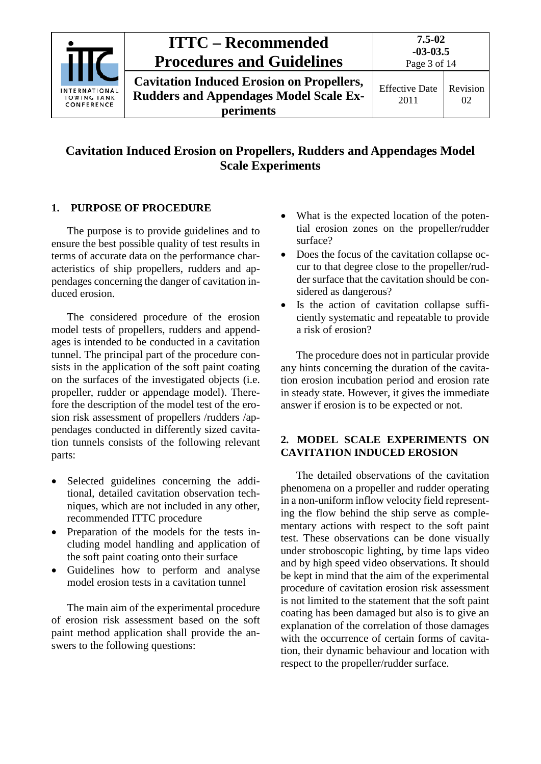

### **Cavitation Induced Erosion on Propellers, Rudders and Appendages Model Scale Experiments**

#### <span id="page-2-0"></span>**1. PURPOSE OF PROCEDURE**

The purpose is to provide guidelines and to ensure the best possible quality of test results in terms of accurate data on the performance characteristics of ship propellers, rudders and appendages concerning the danger of cavitation induced erosion.

The considered procedure of the erosion model tests of propellers, rudders and appendages is intended to be conducted in a cavitation tunnel. The principal part of the procedure consists in the application of the soft paint coating on the surfaces of the investigated objects (i.e. propeller, rudder or appendage model). Therefore the description of the model test of the erosion risk assessment of propellers /rudders /appendages conducted in differently sized cavitation tunnels consists of the following relevant parts:

- Selected guidelines concerning the additional, detailed cavitation observation techniques, which are not included in any other, recommended ITTC procedure
- Preparation of the models for the tests including model handling and application of the soft paint coating onto their surface
- Guidelines how to perform and analyse model erosion tests in a cavitation tunnel

The main aim of the experimental procedure of erosion risk assessment based on the soft paint method application shall provide the answers to the following questions:

- What is the expected location of the potential erosion zones on the propeller/rudder surface?
- Does the focus of the cavitation collapse occur to that degree close to the propeller/rudder surface that the cavitation should be considered as dangerous?
- Is the action of cavitation collapse sufficiently systematic and repeatable to provide a risk of erosion?

The procedure does not in particular provide any hints concerning the duration of the cavitation erosion incubation period and erosion rate in steady state. However, it gives the immediate answer if erosion is to be expected or not.

#### <span id="page-2-1"></span>**2. MODEL SCALE EXPERIMENTS ON CAVITATION INDUCED EROSION**

The detailed observations of the cavitation phenomena on a propeller and rudder operating in a non-uniform inflow velocity field representing the flow behind the ship serve as complementary actions with respect to the soft paint test. These observations can be done visually under stroboscopic lighting, by time laps video and by high speed video observations. It should be kept in mind that the aim of the experimental procedure of cavitation erosion risk assessment is not limited to the statement that the soft paint coating has been damaged but also is to give an explanation of the correlation of those damages with the occurrence of certain forms of cavitation, their dynamic behaviour and location with respect to the propeller/rudder surface.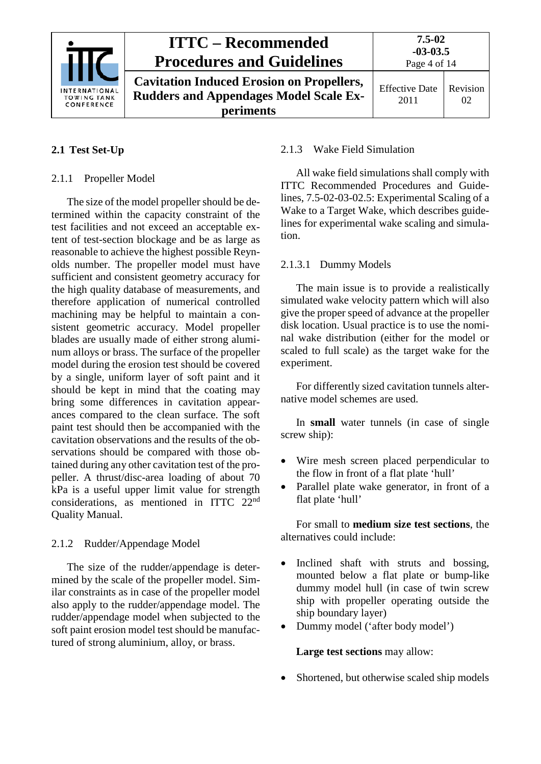

#### <span id="page-3-1"></span><span id="page-3-0"></span>**2.1 Test Set-Up**

#### 2.1.1 Propeller Model

The size of the model propeller should be determined within the capacity constraint of the test facilities and not exceed an acceptable extent of test-section blockage and be as large as reasonable to achieve the highest possible Reynolds number. The propeller model must have sufficient and consistent geometry accuracy for the high quality database of measurements, and therefore application of numerical controlled machining may be helpful to maintain a consistent geometric accuracy. Model propeller blades are usually made of either strong aluminum alloys or brass. The surface of the propeller model during the erosion test should be covered by a single, uniform layer of soft paint and it should be kept in mind that the coating may bring some differences in cavitation appearances compared to the clean surface. The soft paint test should then be accompanied with the cavitation observations and the results of the observations should be compared with those obtained during any other cavitation test of the propeller. A thrust/disc-area loading of about 70 kPa is a useful upper limit value for strength considerations, as mentioned in ITTC 22nd Quality Manual.

#### <span id="page-3-2"></span>2.1.2 Rudder/Appendage Model

The size of the rudder/appendage is determined by the scale of the propeller model. Similar constraints as in case of the propeller model also apply to the rudder/appendage model. The rudder/appendage model when subjected to the soft paint erosion model test should be manufactured of strong aluminium, alloy, or brass.

#### <span id="page-3-3"></span>2.1.3 Wake Field Simulation

All wake field simulations shall comply with ITTC Recommended Procedures and Guidelines, 7.5-02-03-02.5: Experimental Scaling of a Wake to a Target Wake, which describes guidelines for experimental wake scaling and simulation.

#### <span id="page-3-4"></span>2.1.3.1 Dummy Models

The main issue is to provide a realistically simulated wake velocity pattern which will also give the proper speed of advance at the propeller disk location. Usual practice is to use the nominal wake distribution (either for the model or scaled to full scale) as the target wake for the experiment.

For differently sized cavitation tunnels alternative model schemes are used.

In **small** water tunnels (in case of single screw ship):

- Wire mesh screen placed perpendicular to the flow in front of a flat plate 'hull'
- Parallel plate wake generator, in front of a flat plate 'hull'

For small to **medium size test sections**, the alternatives could include:

- Inclined shaft with struts and bossing, mounted below a flat plate or bump-like dummy model hull (in case of twin screw ship with propeller operating outside the ship boundary layer)
- Dummy model ('after body model')

**Large test sections** may allow:

• Shortened, but otherwise scaled ship models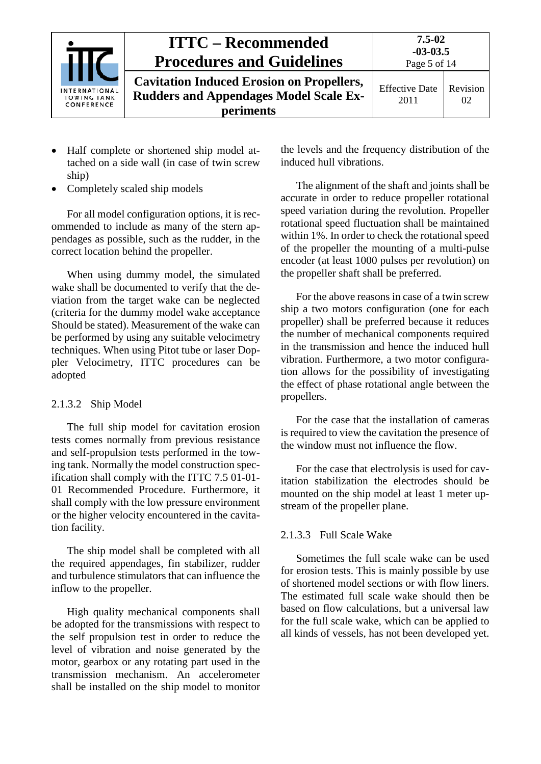

- Half complete or shortened ship model attached on a side wall (in case of twin screw ship)
- Completely scaled ship models

For all model configuration options, it is recommended to include as many of the stern appendages as possible, such as the rudder, in the correct location behind the propeller.

When using dummy model, the simulated wake shall be documented to verify that the deviation from the target wake can be neglected (criteria for the dummy model wake acceptance Should be stated). Measurement of the wake can be performed by using any suitable velocimetry techniques. When using Pitot tube or laser Doppler Velocimetry, ITTC procedures can be adopted

#### <span id="page-4-0"></span>2.1.3.2 Ship Model

The full ship model for cavitation erosion tests comes normally from previous resistance and self-propulsion tests performed in the towing tank. Normally the model construction specification shall comply with the ITTC 7.5 01-01- 01 Recommended Procedure. Furthermore, it shall comply with the low pressure environment or the higher velocity encountered in the cavitation facility.

The ship model shall be completed with all the required appendages, fin stabilizer, rudder and turbulence stimulators that can influence the inflow to the propeller.

High quality mechanical components shall be adopted for the transmissions with respect to the self propulsion test in order to reduce the level of vibration and noise generated by the motor, gearbox or any rotating part used in the transmission mechanism. An accelerometer shall be installed on the ship model to monitor the levels and the frequency distribution of the induced hull vibrations.

The alignment of the shaft and joints shall be accurate in order to reduce propeller rotational speed variation during the revolution. Propeller rotational speed fluctuation shall be maintained within 1%. In order to check the rotational speed of the propeller the mounting of a multi-pulse encoder (at least 1000 pulses per revolution) on the propeller shaft shall be preferred.

For the above reasons in case of a twin screw ship a two motors configuration (one for each propeller) shall be preferred because it reduces the number of mechanical components required in the transmission and hence the induced hull vibration. Furthermore, a two motor configuration allows for the possibility of investigating the effect of phase rotational angle between the propellers.

For the case that the installation of cameras is required to view the cavitation the presence of the window must not influence the flow.

For the case that electrolysis is used for cavitation stabilization the electrodes should be mounted on the ship model at least 1 meter upstream of the propeller plane.

#### <span id="page-4-1"></span>2.1.3.3 Full Scale Wake

Sometimes the full scale wake can be used for erosion tests. This is mainly possible by use of shortened model sections or with flow liners. The estimated full scale wake should then be based on flow calculations, but a universal law for the full scale wake, which can be applied to all kinds of vessels, has not been developed yet.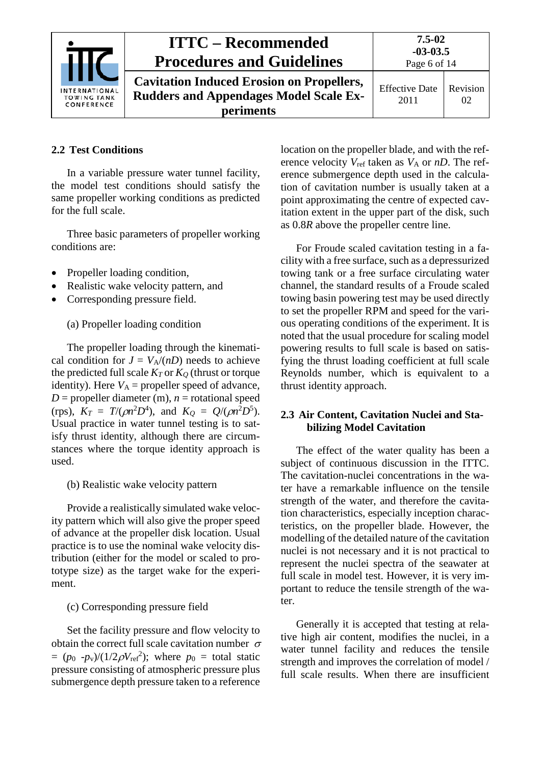

**Cavitation Induced Erosion on Propellers, Rudders and Appendages Model Scale Experiments**

### <span id="page-5-0"></span>**2.2 Test Conditions**

In a variable pressure water tunnel facility, the model test conditions should satisfy the same propeller working conditions as predicted for the full scale.

Three basic parameters of propeller working conditions are:

- Propeller loading condition,
- Realistic wake velocity pattern, and
- Corresponding pressure field.

(a) Propeller loading condition

The propeller loading through the kinematical condition for  $J = V_A/(nD)$  needs to achieve the predicted full scale  $K_T$  or  $K_O$  (thrust or torque identity). Here  $V_A$  = propeller speed of advance,  $D =$  propeller diameter (m),  $n =$  rotational speed (rps),  $K_T = T/(\rho n^2 D^4)$ , and  $K_Q = Q/(\rho n^2 D^5)$ . Usual practice in water tunnel testing is to satisfy thrust identity, although there are circumstances where the torque identity approach is used.

### (b) Realistic wake velocity pattern

Provide a realistically simulated wake velocity pattern which will also give the proper speed of advance at the propeller disk location. Usual practice is to use the nominal wake velocity distribution (either for the model or scaled to prototype size) as the target wake for the experiment.

### (c) Corresponding pressure field

Set the facility pressure and flow velocity to obtain the correct full scale cavitation number  $\sigma$  $= (p_0 - p_v)/(1/2\rho V_{\text{ref}}^2)$ ; where  $p_0 =$  total static pressure consisting of atmospheric pressure plus submergence depth pressure taken to a reference

location on the propeller blade, and with the reference velocity  $V_{ref}$  taken as  $V_A$  or  $nD$ . The reference submergence depth used in the calculation of cavitation number is usually taken at a point approximating the centre of expected cavitation extent in the upper part of the disk, such as 0.8*R* above the propeller centre line.

For Froude scaled cavitation testing in a facility with a free surface, such as a depressurized towing tank or a free surface circulating water channel, the standard results of a Froude scaled towing basin powering test may be used directly to set the propeller RPM and speed for the various operating conditions of the experiment. It is noted that the usual procedure for scaling model powering results to full scale is based on satisfying the thrust loading coefficient at full scale Reynolds number, which is equivalent to a thrust identity approach.

### <span id="page-5-1"></span>**2.3 Air Content, Cavitation Nuclei and Stabilizing Model Cavitation**

The effect of the water quality has been a subject of continuous discussion in the ITTC. The cavitation-nuclei concentrations in the water have a remarkable influence on the tensile strength of the water, and therefore the cavitation characteristics, especially inception characteristics, on the propeller blade. However, the modelling of the detailed nature of the cavitation nuclei is not necessary and it is not practical to represent the nuclei spectra of the seawater at full scale in model test. However, it is very important to reduce the tensile strength of the water.

Generally it is accepted that testing at relative high air content, modifies the nuclei, in a water tunnel facility and reduces the tensile strength and improves the correlation of model / full scale results. When there are insufficient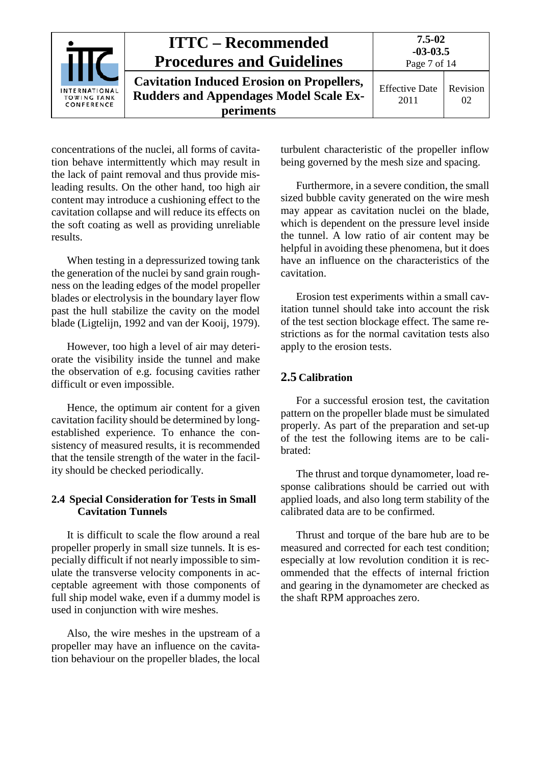|                                            | <b>ITTC – Recommended</b><br><b>Procedures and Guidelines</b>                                                         | $7.5 - 02$<br>$-03-03.5$<br>Page 7 of 14 |                |
|--------------------------------------------|-----------------------------------------------------------------------------------------------------------------------|------------------------------------------|----------------|
| INTERNATIONAL<br>TOWING TANK<br>CONFERENCE | <b>Cavitation Induced Erosion on Propellers,</b><br><b>Rudders and Appendages Model Scale Ex-</b><br><b>periments</b> | <b>Effective Date</b><br>2011            | Revision<br>02 |

concentrations of the nuclei, all forms of cavitation behave intermittently which may result in the lack of paint removal and thus provide misleading results. On the other hand, too high air content may introduce a cushioning effect to the cavitation collapse and will reduce its effects on the soft coating as well as providing unreliable results.

When testing in a depressurized towing tank the generation of the nuclei by sand grain roughness on the leading edges of the model propeller blades or electrolysis in the boundary layer flow past the hull stabilize the cavity on the model blade (Ligtelijn, 1992 and van der Kooij, 1979).

However, too high a level of air may deteriorate the visibility inside the tunnel and make the observation of e.g. focusing cavities rather difficult or even impossible.

Hence, the optimum air content for a given cavitation facility should be determined by longestablished experience. To enhance the consistency of measured results, it is recommended that the tensile strength of the water in the facility should be checked periodically.

#### <span id="page-6-0"></span>**2.4 Special Consideration for Tests in Small Cavitation Tunnels**

It is difficult to scale the flow around a real propeller properly in small size tunnels. It is especially difficult if not nearly impossible to simulate the transverse velocity components in acceptable agreement with those components of full ship model wake, even if a dummy model is used in conjunction with wire meshes.

Also, the wire meshes in the upstream of a propeller may have an influence on the cavitation behaviour on the propeller blades, the local

turbulent characteristic of the propeller inflow being governed by the mesh size and spacing.

Furthermore, in a severe condition, the small sized bubble cavity generated on the wire mesh may appear as cavitation nuclei on the blade, which is dependent on the pressure level inside the tunnel. A low ratio of air content may be helpful in avoiding these phenomena, but it does have an influence on the characteristics of the cavitation.

Erosion test experiments within a small cavitation tunnel should take into account the risk of the test section blockage effect. The same restrictions as for the normal cavitation tests also apply to the erosion tests.

#### <span id="page-6-1"></span>**2.5 Calibration**

For a successful erosion test, the cavitation pattern on the propeller blade must be simulated properly. As part of the preparation and set-up of the test the following items are to be calibrated:

The thrust and torque dynamometer, load response calibrations should be carried out with applied loads, and also long term stability of the calibrated data are to be confirmed.

Thrust and torque of the bare hub are to be measured and corrected for each test condition; especially at low revolution condition it is recommended that the effects of internal friction and gearing in the dynamometer are checked as the shaft RPM approaches zero.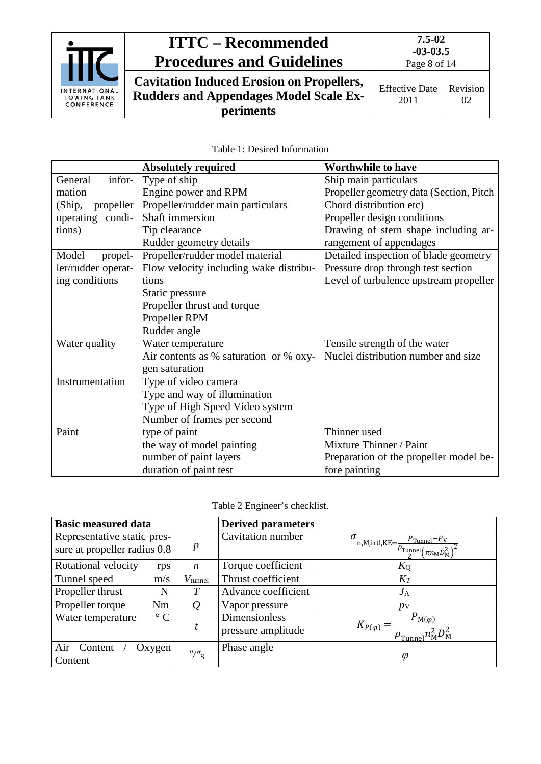

**Cavitation Induced Erosion on Propellers, Rudders and Appendages Model Scale Experiments**

02

2011

| Table 1: Desired Information |
|------------------------------|
|                              |

|                     | <b>Absolutely required</b>             | <b>Worthwhile to have</b>               |
|---------------------|----------------------------------------|-----------------------------------------|
| infor-<br>General   | Type of ship                           | Ship main particulars                   |
| mation              | Engine power and RPM                   | Propeller geometry data (Section, Pitch |
| (Ship,<br>propeller | Propeller/rudder main particulars      | Chord distribution etc)                 |
| operating condi-    | Shaft immersion                        | Propeller design conditions             |
| tions)              | Tip clearance                          | Drawing of stern shape including ar-    |
|                     | Rudder geometry details                | rangement of appendages                 |
| Model<br>propel-    | Propeller/rudder model material        | Detailed inspection of blade geometry   |
| ler/rudder operat-  | Flow velocity including wake distribu- | Pressure drop through test section      |
| ing conditions      | tions                                  | Level of turbulence upstream propeller  |
|                     | Static pressure                        |                                         |
|                     | Propeller thrust and torque            |                                         |
|                     | Propeller RPM                          |                                         |
|                     | Rudder angle                           |                                         |
| Water quality       | Water temperature                      | Tensile strength of the water           |
|                     | Air contents as % saturation or % oxy- | Nuclei distribution number and size     |
|                     | gen saturation                         |                                         |
| Instrumentation     | Type of video camera                   |                                         |
|                     | Type and way of illumination           |                                         |
|                     | Type of High Speed Video system        |                                         |
|                     | Number of frames per second            |                                         |
| Paint               | type of paint                          | Thinner used                            |
|                     | the way of model painting              | Mixture Thinner / Paint                 |
|                     | number of paint layers                 | Preparation of the propeller model be-  |
|                     | duration of paint test                 | fore painting                           |

| <b>Basic measured data</b>                                  |                                         | <b>Derived parameters</b>           |                                                                                                                  |
|-------------------------------------------------------------|-----------------------------------------|-------------------------------------|------------------------------------------------------------------------------------------------------------------|
| Representative static pres-<br>sure at propeller radius 0.8 | $\boldsymbol{p}$                        | Cavitation number                   | m, M, irtl, KE = $\frac{P_{\text{Tunnel}} - P_V}{\frac{P_{\text{Tunnel}}}{2} (\pi n_{\text{M}} D_{\text{M}}^2)}$ |
| Rotational velocity<br>rps                                  | $\boldsymbol{n}$                        | Torque coefficient                  | $K_Q$                                                                                                            |
| Tunnel speed<br>m/s                                         | $V_{\text{tunnel}}$                     | Thrust coefficient                  | $K_T$                                                                                                            |
| Propeller thrust<br>N                                       | T                                       | Advance coefficient                 | $J_{\rm A}$                                                                                                      |
| Propeller torque<br>Nm                                      | Q                                       | Vapor pressure                      | py                                                                                                               |
| $\circ$ $\cap$<br>Water temperature                         | t                                       | Dimensionless<br>pressure amplitude | $P_{\text{M}(\varphi)}$<br>$K_{P(\varphi)}$ :<br>$\rho_{\text{Tunnel}} n_{\text{M}}^2 D_{\text{M}}^2$            |
| Air Content<br>Oxygen<br>Content                            | $^{\prime\prime}$ / $^{\prime\prime}$ s | Phase angle                         | $\varphi$                                                                                                        |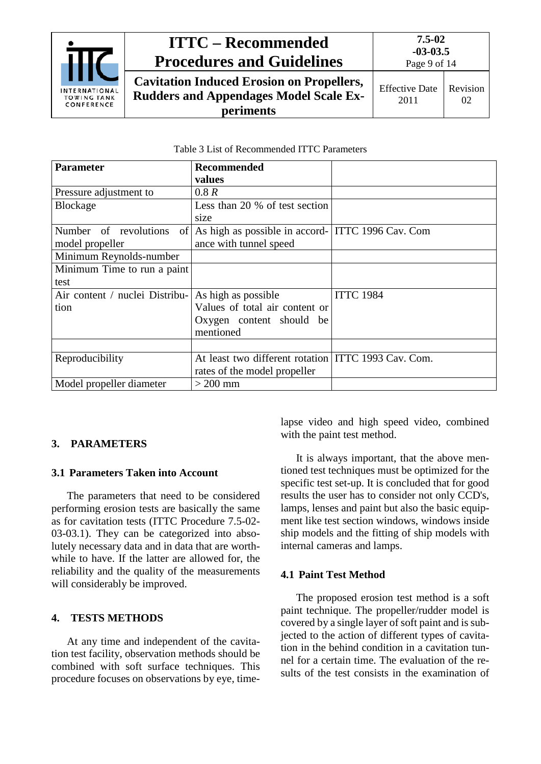

**Cavitation Induced Erosion on Propellers, Rudders and Appendages Model Scale Experiments**

| Table 3 List of Recommended ITTC Parameters |
|---------------------------------------------|
|                                             |

| <b>Parameter</b>               | <b>Recommended</b>                                       |                  |
|--------------------------------|----------------------------------------------------------|------------------|
|                                | values                                                   |                  |
| Pressure adjustment to         | 0.8R                                                     |                  |
| <b>Blockage</b>                | Less than 20 % of test section                           |                  |
|                                | size                                                     |                  |
| Number of revolutions          | of   As high as possible in accord-   ITTC 1996 Cav. Com |                  |
| model propeller                | ance with tunnel speed                                   |                  |
| Minimum Reynolds-number        |                                                          |                  |
| Minimum Time to run a paint    |                                                          |                  |
| test                           |                                                          |                  |
| Air content / nuclei Distribu- | As high as possible                                      | <b>ITTC 1984</b> |
| tion                           | Values of total air content or                           |                  |
|                                | Oxygen content should be                                 |                  |
|                                | mentioned                                                |                  |
|                                |                                                          |                  |
| Reproducibility                | At least two different rotation ITTC 1993 Cav. Com.      |                  |
|                                | rates of the model propeller                             |                  |
| Model propeller diameter       | $>$ 200 mm                                               |                  |

#### <span id="page-8-1"></span><span id="page-8-0"></span>**3. PARAMETERS**

#### **3.1 Parameters Taken into Account**

The parameters that need to be considered performing erosion tests are basically the same as for cavitation tests (ITTC Procedure 7.5-02- 03-03.1). They can be categorized into absolutely necessary data and in data that are worthwhile to have. If the latter are allowed for, the reliability and the quality of the measurements will considerably be improved.

#### <span id="page-8-2"></span>**4. TESTS METHODS**

At any time and independent of the cavitation test facility, observation methods should be combined with soft surface techniques. This procedure focuses on observations by eye, timelapse video and high speed video, combined with the paint test method.

It is always important, that the above mentioned test techniques must be optimized for the specific test set-up. It is concluded that for good results the user has to consider not only CCD's, lamps, lenses and paint but also the basic equipment like test section windows, windows inside ship models and the fitting of ship models with internal cameras and lamps.

#### <span id="page-8-3"></span>**4.1 Paint Test Method**

The proposed erosion test method is a soft paint technique. The propeller/rudder model is covered by a single layer of soft paint and is subjected to the action of different types of cavitation in the behind condition in a cavitation tunnel for a certain time. The evaluation of the results of the test consists in the examination of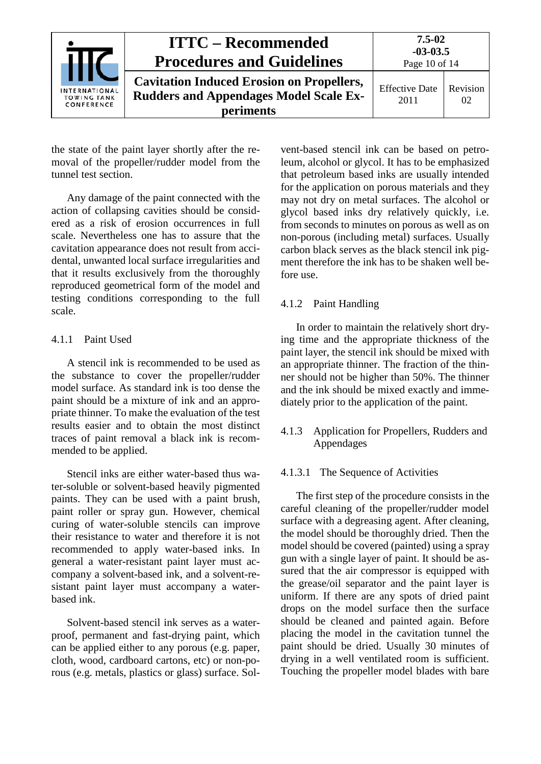|                                            | <b>ITTC – Recommended</b><br><b>Procedures and Guidelines</b>                                                  | $7.5 - 02$<br>$-03-03.5$<br>Page 10 of 14 |                |
|--------------------------------------------|----------------------------------------------------------------------------------------------------------------|-------------------------------------------|----------------|
| INTERNATIONAL<br>TOWING TANK<br>CONFERENCE | <b>Cavitation Induced Erosion on Propellers,</b><br><b>Rudders and Appendages Model Scale Ex-</b><br>periments | <b>Effective Date</b><br>2011             | Revision<br>02 |

the state of the paint layer shortly after the removal of the propeller/rudder model from the tunnel test section.

Any damage of the paint connected with the action of collapsing cavities should be considered as a risk of erosion occurrences in full scale. Nevertheless one has to assure that the cavitation appearance does not result from accidental, unwanted local surface irregularities and that it results exclusively from the thoroughly reproduced geometrical form of the model and testing conditions corresponding to the full scale.

#### <span id="page-9-0"></span>4.1.1 Paint Used

A stencil ink is recommended to be used as the substance to cover the propeller/rudder model surface. As standard ink is too dense the paint should be a mixture of ink and an appropriate thinner. To make the evaluation of the test results easier and to obtain the most distinct traces of paint removal a black ink is recommended to be applied.

Stencil inks are either water-based thus water-soluble or solvent-based heavily pigmented paints. They can be used with a paint brush, paint roller or spray gun. However, chemical curing of water-soluble stencils can improve their resistance to water and therefore it is not recommended to apply water-based inks. In general a water-resistant paint layer must accompany a solvent-based ink, and a solvent-resistant paint layer must accompany a waterbased ink.

Solvent-based stencil ink serves as a waterproof, permanent and fast-drying paint, which can be applied either to any porous (e.g. paper, cloth, wood, cardboard cartons, etc) or non-porous (e.g. metals, plastics or glass) surface. Solvent-based stencil ink can be based on petroleum, alcohol or glycol. It has to be emphasized that petroleum based inks are usually intended for the application on porous materials and they may not dry on metal surfaces. The alcohol or glycol based inks dry relatively quickly, i.e. from seconds to minutes on porous as well as on non-porous (including metal) surfaces. Usually carbon black serves as the black stencil ink pigment therefore the ink has to be shaken well before use.

#### <span id="page-9-1"></span>4.1.2 Paint Handling

In order to maintain the relatively short drying time and the appropriate thickness of the paint layer, the stencil ink should be mixed with an appropriate thinner. The fraction of the thinner should not be higher than 50%. The thinner and the ink should be mixed exactly and immediately prior to the application of the paint.

#### <span id="page-9-2"></span>4.1.3 Application for Propellers, Rudders and Appendages

#### <span id="page-9-3"></span>4.1.3.1 The Sequence of Activities

The first step of the procedure consists in the careful cleaning of the propeller/rudder model surface with a degreasing agent. After cleaning, the model should be thoroughly dried. Then the model should be covered (painted) using a spray gun with a single layer of paint. It should be assured that the air compressor is equipped with the grease/oil separator and the paint layer is uniform. If there are any spots of dried paint drops on the model surface then the surface should be cleaned and painted again. Before placing the model in the cavitation tunnel the paint should be dried. Usually 30 minutes of drying in a well ventilated room is sufficient. Touching the propeller model blades with bare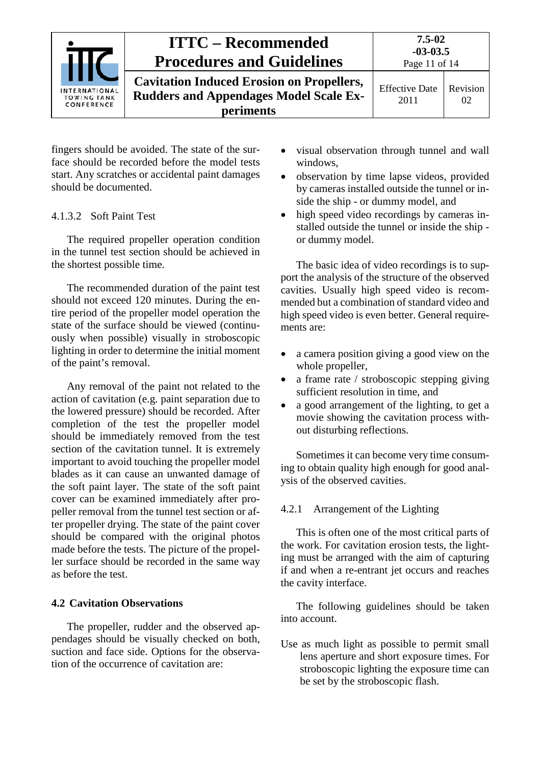

fingers should be avoided. The state of the surface should be recorded before the model tests start. Any scratches or accidental paint damages should be documented.

#### <span id="page-10-0"></span>4.1.3.2 Soft Paint Test

The required propeller operation condition in the tunnel test section should be achieved in the shortest possible time.

The recommended duration of the paint test should not exceed 120 minutes. During the entire period of the propeller model operation the state of the surface should be viewed (continuously when possible) visually in stroboscopic lighting in order to determine the initial moment of the paint's removal.

Any removal of the paint not related to the action of cavitation (e.g. paint separation due to the lowered pressure) should be recorded. After completion of the test the propeller model should be immediately removed from the test section of the cavitation tunnel. It is extremely important to avoid touching the propeller model blades as it can cause an unwanted damage of the soft paint layer. The state of the soft paint cover can be examined immediately after propeller removal from the tunnel test section or after propeller drying. The state of the paint cover should be compared with the original photos made before the tests. The picture of the propeller surface should be recorded in the same way as before the test.

#### <span id="page-10-1"></span>**4.2 Cavitation Observations**

The propeller, rudder and the observed appendages should be visually checked on both, suction and face side. Options for the observation of the occurrence of cavitation are:

- visual observation through tunnel and wall windows,
- observation by time lapse videos, provided by cameras installed outside the tunnel or inside the ship - or dummy model, and
- high speed video recordings by cameras installed outside the tunnel or inside the ship or dummy model.

The basic idea of video recordings is to support the analysis of the structure of the observed cavities. Usually high speed video is recommended but a combination of standard video and high speed video is even better. General requirements are:

- a camera position giving a good view on the whole propeller,
- a frame rate / stroboscopic stepping giving sufficient resolution in time, and
- a good arrangement of the lighting, to get a movie showing the cavitation process without disturbing reflections.

Sometimes it can become very time consuming to obtain quality high enough for good analysis of the observed cavities.

#### <span id="page-10-2"></span>4.2.1 Arrangement of the Lighting

This is often one of the most critical parts of the work. For cavitation erosion tests, the lighting must be arranged with the aim of capturing if and when a re-entrant jet occurs and reaches the cavity interface.

The following guidelines should be taken into account.

Use as much light as possible to permit small lens aperture and short exposure times. For stroboscopic lighting the exposure time can be set by the stroboscopic flash.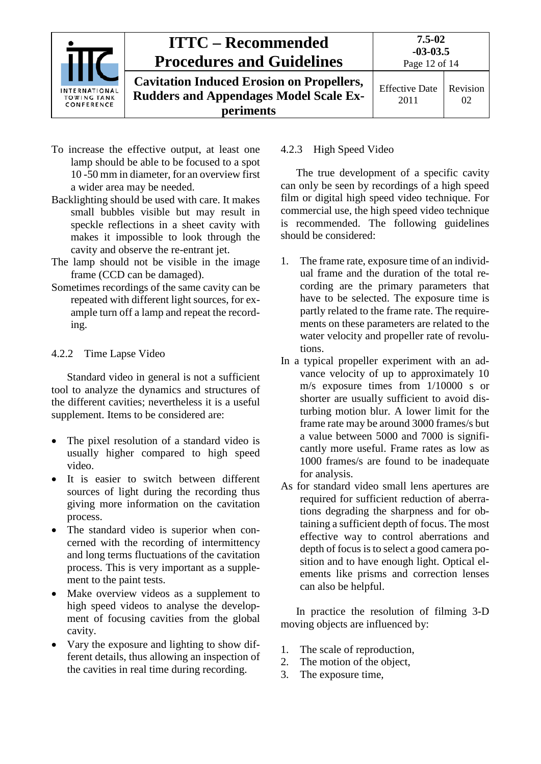| <b>ITTC – Recommended</b><br><b>Procedures and Guidelines</b> |                                                                                                                | $7.5 - 02$<br>$-03-03.5$<br>Page 12 of 14 |                |
|---------------------------------------------------------------|----------------------------------------------------------------------------------------------------------------|-------------------------------------------|----------------|
| <b>INTERNATIONAL</b><br><b>TOWING TANK</b><br>CONFERENCE      | <b>Cavitation Induced Erosion on Propellers,</b><br><b>Rudders and Appendages Model Scale Ex-</b><br>periments | <b>Effective Date</b><br>2011             | Revision<br>02 |

- To increase the effective output, at least one lamp should be able to be focused to a spot 10 -50 mm in diameter, for an overview first a wider area may be needed.
- Backlighting should be used with care. It makes small bubbles visible but may result in speckle reflections in a sheet cavity with makes it impossible to look through the cavity and observe the re-entrant jet.
- The lamp should not be visible in the image frame (CCD can be damaged).
- Sometimes recordings of the same cavity can be repeated with different light sources, for example turn off a lamp and repeat the recording.

#### <span id="page-11-0"></span>4.2.2 Time Lapse Video

Standard video in general is not a sufficient tool to analyze the dynamics and structures of the different cavities; nevertheless it is a useful supplement. Items to be considered are:

- The pixel resolution of a standard video is usually higher compared to high speed video.
- It is easier to switch between different sources of light during the recording thus giving more information on the cavitation process.
- The standard video is superior when concerned with the recording of intermittency and long terms fluctuations of the cavitation process. This is very important as a supplement to the paint tests.
- Make overview videos as a supplement to high speed videos to analyse the development of focusing cavities from the global cavity.
- Vary the exposure and lighting to show different details, thus allowing an inspection of the cavities in real time during recording.

#### <span id="page-11-1"></span>4.2.3 High Speed Video

The true development of a specific cavity can only be seen by recordings of a high speed film or digital high speed video technique. For commercial use, the high speed video technique is recommended. The following guidelines should be considered:

- 1. The frame rate, exposure time of an individual frame and the duration of the total recording are the primary parameters that have to be selected. The exposure time is partly related to the frame rate. The requirements on these parameters are related to the water velocity and propeller rate of revolutions.
- In a typical propeller experiment with an advance velocity of up to approximately 10 m/s exposure times from 1/10000 s or shorter are usually sufficient to avoid disturbing motion blur. A lower limit for the frame rate may be around 3000 frames/s but a value between 5000 and 7000 is significantly more useful. Frame rates as low as 1000 frames/s are found to be inadequate for analysis.
- As for standard video small lens apertures are required for sufficient reduction of aberrations degrading the sharpness and for obtaining a sufficient depth of focus. The most effective way to control aberrations and depth of focus is to select a good camera position and to have enough light. Optical elements like prisms and correction lenses can also be helpful.

In practice the resolution of filming 3-D moving objects are influenced by:

- 1. The scale of reproduction,
- 2. The motion of the object,
- 3. The exposure time,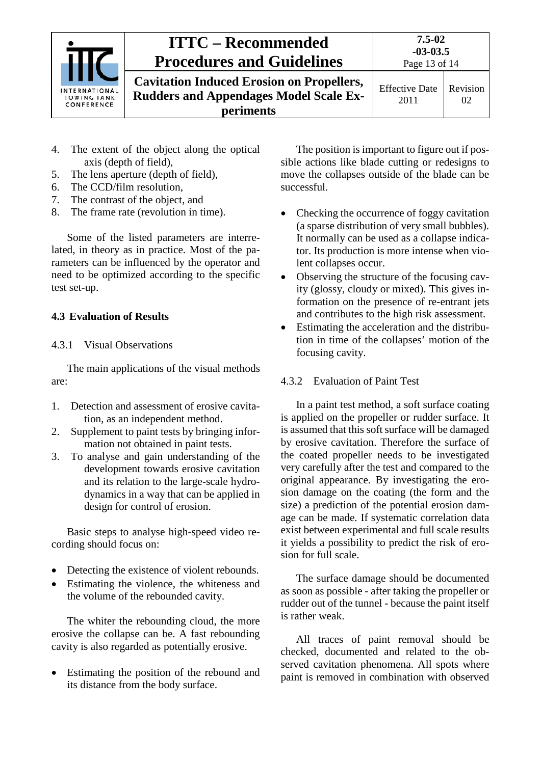

**Cavitation Induced Erosion on Propellers, Rudders and Appendages Model Scale Experiments**

Effective Date 2011 Revision 02

- 4. The extent of the object along the optical axis (depth of field),
- 5. The lens aperture (depth of field),
- 6. The CCD/film resolution,
- 7. The contrast of the object, and
- 8. The frame rate (revolution in time).

Some of the listed parameters are interrelated, in theory as in practice. Most of the parameters can be influenced by the operator and need to be optimized according to the specific test set-up.

#### <span id="page-12-1"></span><span id="page-12-0"></span>**4.3 Evaluation of Results**

#### 4.3.1 Visual Observations

The main applications of the visual methods are:

- 1. Detection and assessment of erosive cavitation, as an independent method.
- 2. Supplement to paint tests by bringing information not obtained in paint tests.
- 3. To analyse and gain understanding of the development towards erosive cavitation and its relation to the large-scale hydrodynamics in a way that can be applied in design for control of erosion.

Basic steps to analyse high-speed video recording should focus on:

- Detecting the existence of violent rebounds.
- Estimating the violence, the whiteness and the volume of the rebounded cavity.

The whiter the rebounding cloud, the more erosive the collapse can be. A fast rebounding cavity is also regarded as potentially erosive.

• Estimating the position of the rebound and its distance from the body surface.

The position is important to figure out if possible actions like blade cutting or redesigns to move the collapses outside of the blade can be successful.

- Checking the occurrence of foggy cavitation (a sparse distribution of very small bubbles). It normally can be used as a collapse indicator. Its production is more intense when violent collapses occur.
- Observing the structure of the focusing cavity (glossy, cloudy or mixed). This gives information on the presence of re-entrant jets and contributes to the high risk assessment.
- Estimating the acceleration and the distribution in time of the collapses' motion of the focusing cavity.

#### <span id="page-12-2"></span>4.3.2 Evaluation of Paint Test

In a paint test method, a soft surface coating is applied on the propeller or rudder surface. It is assumed that this soft surface will be damaged by erosive cavitation. Therefore the surface of the coated propeller needs to be investigated very carefully after the test and compared to the original appearance. By investigating the erosion damage on the coating (the form and the size) a prediction of the potential erosion damage can be made. If systematic correlation data exist between experimental and full scale results it yields a possibility to predict the risk of erosion for full scale.

The surface damage should be documented as soon as possible - after taking the propeller or rudder out of the tunnel - because the paint itself is rather weak.

All traces of paint removal should be checked, documented and related to the observed cavitation phenomena. All spots where paint is removed in combination with observed